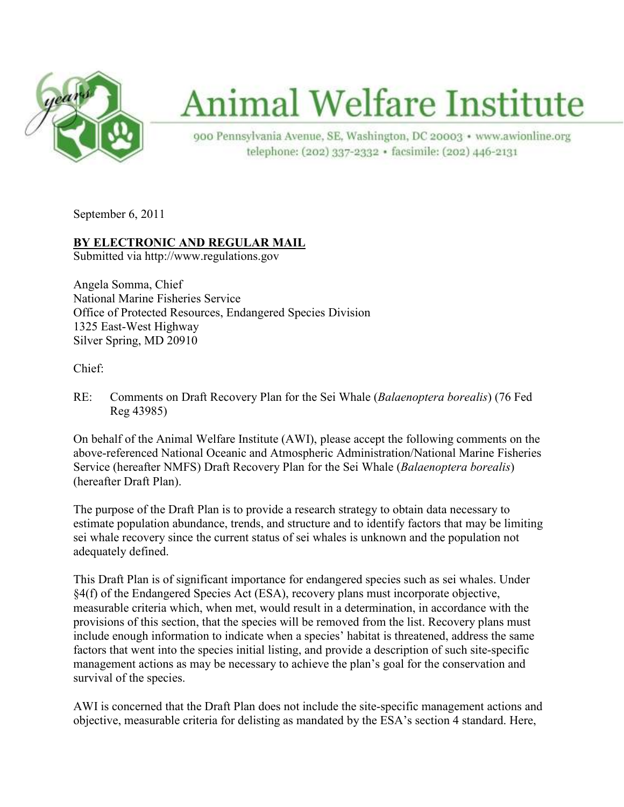

# **Animal Welfare Institute**

900 Pennsylvania Avenue, SE, Washington, DC 20003 · www.awionline.org telephone: (202) 337-2332 · facsimile: (202) 446-2131

September 6, 2011

# **<u>BY ELECTRONIC AND REGULAR MAIL</u>**

Submitted via http://www.regulations.gov

Angela Somma, Chief National Marine Fisheries Service Office of Protected Resources, Endangered Species Division 1325 East-West Highway Silver Spring, MD 20910

Chief:

RE: Comments on Draft Recovery Plan for the Sei Whale (*Balaenoptera borealis*) (76 Fed Reg 43985)

On behalf of the Animal Welfare Institute (AWI), please accept the following comments on the above-referenced National Oceanic and Atmospheric Administration/National Marine Fisheries Service (hereafter NMFS) Draft Recovery Plan for the Sei Whale (*Balaenoptera borealis*) (hereafter Draft Plan).

The purpose of the Draft Plan is to provide a research strategy to obtain data necessary to estimate population abundance, trends, and structure and to identify factors that may be limiting sei whale recovery since the current status of sei whales is unknown and the population not adequately defined.

This Draft Plan is of significant importance for endangered species such as sei whales. Under §4(f) of the Endangered Species Act (ESA), recovery plans must incorporate objective, measurable criteria which, when met, would result in a determination, in accordance with the provisions of this section, that the species will be removed from the list. Recovery plans must include enough information to indicate when a species' habitat is threatened, address the same factors that went into the species initial listing, and provide a description of such site-specific management actions as may be necessary to achieve the plan's goal for the conservation and survival of the species.

AWI is concerned that the Draft Plan does not include the site-specific management actions and objective, measurable criteria for delisting as mandated by the ESA's section 4 standard. Here,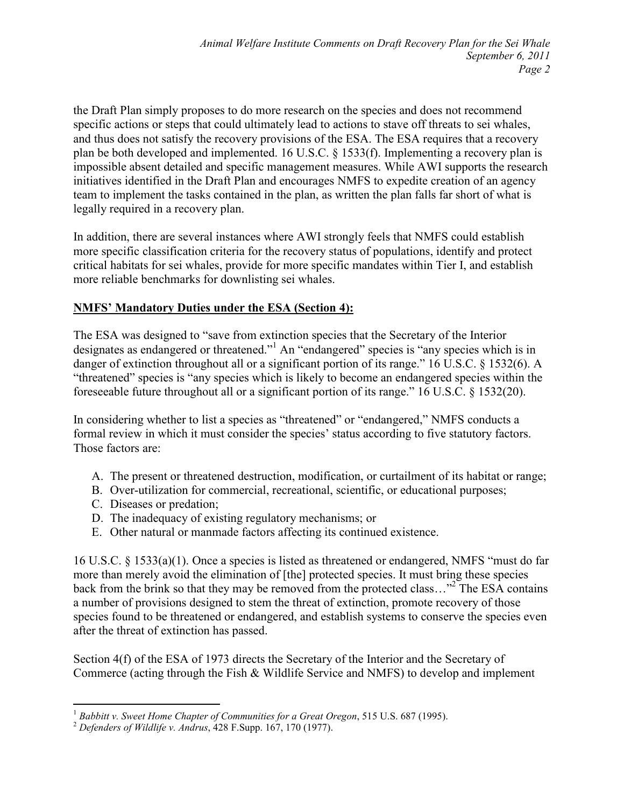the Draft Plan simply proposes to do more research on the species and does not recommend specific actions or steps that could ultimately lead to actions to stave off threats to sei whales, and thus does not satisfy the recovery provisions of the ESA. The ESA requires that a recovery plan be both developed and implemented. 16 U.S.C. § 1533(f). Implementing a recovery plan is impossible absent detailed and specific management measures. While AWI supports the research initiatives identified in the Draft Plan and encourages NMFS to expedite creation of an agency team to implement the tasks contained in the plan, as written the plan falls far short of what is legally required in a recovery plan.

In addition, there are several instances where AWI strongly feels that NMFS could establish more specific classification criteria for the recovery status of populations, identify and protect critical habitats for sei whales, provide for more specific mandates within Tier I, and establish more reliable benchmarks for downlisting sei whales.

# **MFS' Mandatory Duties under the ESA (Section 4):**

The ESA was designed to "save from extinction species that the Secretary of the Interior designates as endangered or threatened."<sup>1</sup> An "endangered" species is "any species which is in danger of extinction throughout all or a significant portion of its range." 16 U.S.C. § 1532(6). A "threatened" species is "any species which is likely to become an endangered species within the foreseeable future throughout all or a significant portion of its range." 16 U.S.C. § 1532(20).

In considering whether to list a species as "threatened" or "endangered," NMFS conducts a formal review in which it must consider the species' status according to five statutory factors. Those factors are:

- A. The present or threatened destruction, modification, or curtailment of its habitat or range;
- B. Over-utilization for commercial, recreational, scientific, or educational purposes;
- C. Diseases or predation;
- D. The inadequacy of existing regulatory mechanisms; or
- E. Other natural or manmade factors affecting its continued existence.

16 U.S.C. § 1533(a)(1). Once a species is listed as threatened or endangered, NMFS "must do far more than merely avoid the elimination of [the] protected species. It must bring these species back from the brink so that they may be removed from the protected class..."<sup>2</sup> The ESA contains a number of provisions designed to stem the threat of extinction, promote recovery of those species found to be threatened or endangered, and establish systems to conserve the species even after the threat of extinction has passed.

Section 4(f) of the ESA of 1973 directs the Secretary of the Interior and the Secretary of Commerce (acting through the Fish & Wildlife Service and NMFS) to develop and implement

<sup>-</sup><sup>1</sup> *Babbitt v. Sweet Home Chapter of Communities for a Great Oregon*, 515 U.S. 687 (1995).

<sup>2</sup> *Defenders of Wildlife v. Andrus*, 428 F.Supp. 167, 170 (1977).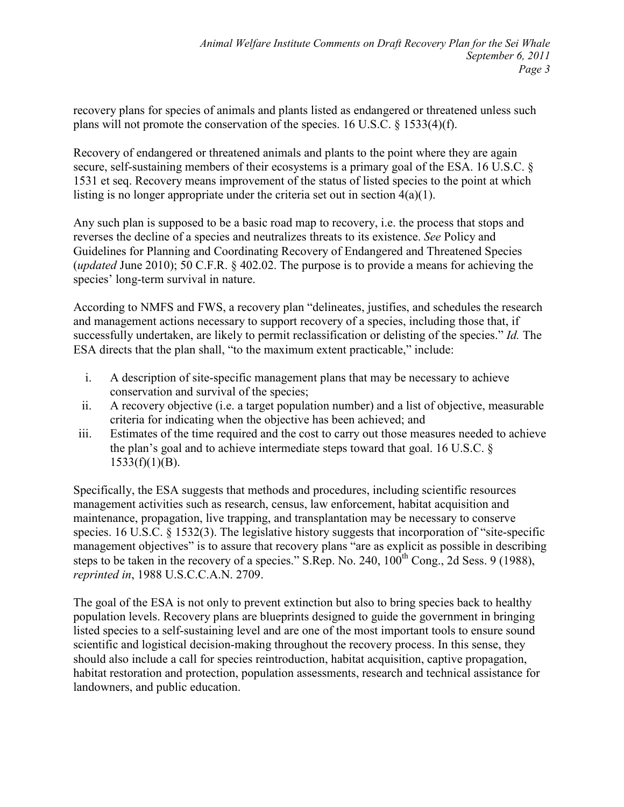recovery plans for species of animals and plants listed as endangered or threatened unless such plans will not promote the conservation of the species. 16 U.S.C. § 1533(4)(f).

Recovery of endangered or threatened animals and plants to the point where they are again secure, self-sustaining members of their ecosystems is a primary goal of the ESA. 16 U.S.C. § 1531 et seq. Recovery means improvement of the status of listed species to the point at which listing is no longer appropriate under the criteria set out in section  $4(a)(1)$ .

Any such plan is supposed to be a basic road map to recovery, i.e. the process that stops and reverses the decline of a species and neutralizes threats to its existence. *See* Policy and Guidelines for Planning and Coordinating Recovery of Endangered and Threatened Species (*updated* June 2010); 50 C.F.R. § 402.02. The purpose is to provide a means for achieving the species' long-term survival in nature.

According to NMFS and FWS, a recovery plan "delineates, justifies, and schedules the research and management actions necessary to support recovery of a species, including those that, if successfully undertaken, are likely to permit reclassification or delisting of the species." *Id.* The ESA directs that the plan shall, "to the maximum extent practicable," include:

- i. A description of site-specific management plans that may be necessary to achieve conservation and survival of the species;
- ii. A recovery objective (i.e. a target population number) and a list of objective, measurable criteria for indicating when the objective has been achieved; and
- iii. Estimates of the time required and the cost to carry out those measures needed to achieve the plan's goal and to achieve intermediate steps toward that goal. 16 U.S.C. §  $1533(f)(1)(B)$ .

Specifically, the ESA suggests that methods and procedures, including scientific resources management activities such as research, census, law enforcement, habitat acquisition and maintenance, propagation, live trapping, and transplantation may be necessary to conserve species. 16 U.S.C. § 1532(3). The legislative history suggests that incorporation of "site-specific management objectives" is to assure that recovery plans "are as explicit as possible in describing steps to be taken in the recovery of a species." S.Rep. No. 240,  $100^{th}$  Cong., 2d Sess. 9 (1988), *reprinted in*, 1988 U.S.C.C.A.N. 2709.

The goal of the ESA is not only to prevent extinction but also to bring species back to healthy population levels. Recovery plans are blueprints designed to guide the government in bringing listed species to a self-sustaining level and are one of the most important tools to ensure sound scientific and logistical decision-making throughout the recovery process. In this sense, they should also include a call for species reintroduction, habitat acquisition, captive propagation, habitat restoration and protection, population assessments, research and technical assistance for landowners, and public education.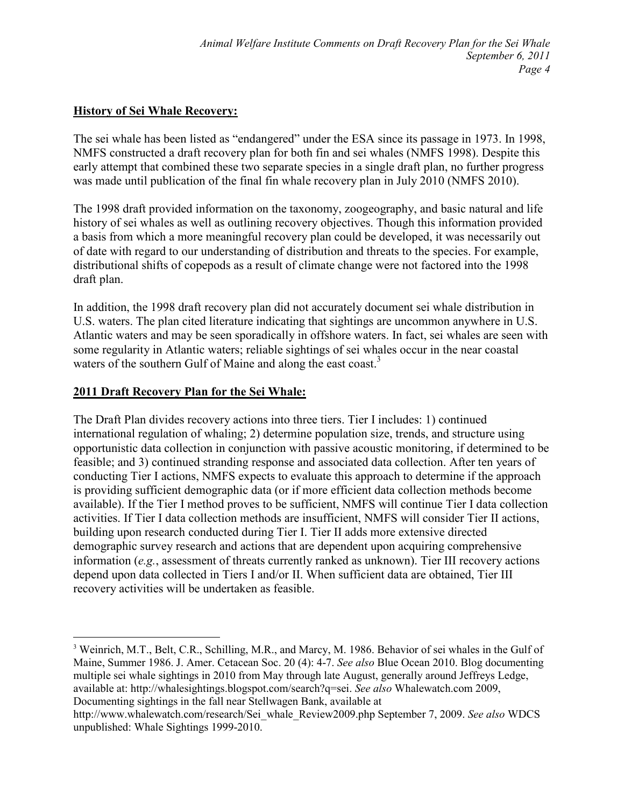# **History of Sei Whale Recovery:**

The sei whale has been listed as "endangered" under the ESA since its passage in 1973. In 1998, NMFS constructed a draft recovery plan for both fin and sei whales (NMFS 1998). Despite this early attempt that combined these two separate species in a single draft plan, no further progress was made until publication of the final fin whale recovery plan in July 2010 (NMFS 2010).

The 1998 draft provided information on the taxonomy, zoogeography, and basic natural and life history of sei whales as well as outlining recovery objectives. Though this information provided a basis from which a more meaningful recovery plan could be developed, it was necessarily out of date with regard to our understanding of distribution and threats to the species. For example, distributional shifts of copepods as a result of climate change were not factored into the 1998 draft plan.

In addition, the 1998 draft recovery plan did not accurately document sei whale distribution in U.S. waters. The plan cited literature indicating that sightings are uncommon anywhere in U.S. Atlantic waters and may be seen sporadically in offshore waters. In fact, sei whales are seen with some regularity in Atlantic waters; reliable sightings of sei whales occur in the near coastal waters of the southern Gulf of Maine and along the east coast.<sup>3</sup>

# **2011 Draft Recovery Plan for the Sei Whale:**

The Draft Plan divides recovery actions into three tiers. Tier I includes: 1) continued international regulation of whaling; 2) determine population size, trends, and structure using opportunistic data collection in conjunction with passive acoustic monitoring, if determined to be feasible; and 3) continued stranding response and associated data collection. After ten years of conducting Tier I actions, NMFS expects to evaluate this approach to determine if the approach is providing sufficient demographic data (or if more efficient data collection methods become available). If the Tier I method proves to be sufficient, NMFS will continue Tier I data collection activities. If Tier I data collection methods are insufficient, NMFS will consider Tier II actions, building upon research conducted during Tier I. Tier II adds more extensive directed demographic survey research and actions that are dependent upon acquiring comprehensive information (*e.g.*, assessment of threats currently ranked as unknown). Tier III recovery actions depend upon data collected in Tiers I and/or II. When sufficient data are obtained, Tier III recovery activities will be undertaken as feasible.

 $\overline{a}$ <sup>3</sup> Weinrich, M.T., Belt, C.R., Schilling, M.R., and Marcy, M. 1986. Behavior of sei whales in the Gulf of Maine, Summer 1986. J. Amer. Cetacean Soc. 20 (4): 4-7. *See also* Blue Ocean 2010. Blog documenting multiple sei whale sightings in 2010 from May through late August, generally around Jeffreys Ledge, available at: http://whalesightings.blogspot.com/search?q=sei. *See also* Whalewatch.com 2009, Documenting sightings in the fall near Stellwagen Bank, available at

http://www.whalewatch.com/research/Sei\_whale\_Review2009.php September 7, 2009. *See also* WDCS unpublished: Whale Sightings 1999-2010.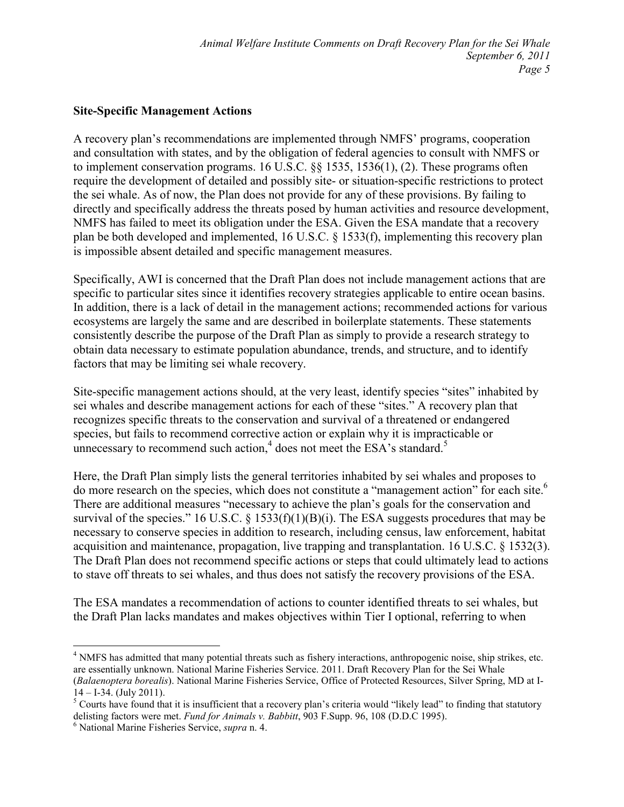#### **Site-Specific Management Actions**

A recovery plan's recommendations are implemented through NMFS' programs, cooperation and consultation with states, and by the obligation of federal agencies to consult with NMFS or to implement conservation programs. 16 U.S.C. §§ 1535, 1536(1), (2). These programs often require the development of detailed and possibly site- or situation-specific restrictions to protect the sei whale. As of now, the Plan does not provide for any of these provisions. By failing to directly and specifically address the threats posed by human activities and resource development, NMFS has failed to meet its obligation under the ESA. Given the ESA mandate that a recovery plan be both developed and implemented, 16 U.S.C. § 1533(f), implementing this recovery plan is impossible absent detailed and specific management measures.

Specifically, AWI is concerned that the Draft Plan does not include management actions that are specific to particular sites since it identifies recovery strategies applicable to entire ocean basins. In addition, there is a lack of detail in the management actions; recommended actions for various ecosystems are largely the same and are described in boilerplate statements. These statements consistently describe the purpose of the Draft Plan as simply to provide a research strategy to obtain data necessary to estimate population abundance, trends, and structure, and to identify factors that may be limiting sei whale recovery.

Site-specific management actions should, at the very least, identify species "sites" inhabited by sei whales and describe management actions for each of these "sites." A recovery plan that recognizes specific threats to the conservation and survival of a threatened or endangered species, but fails to recommend corrective action or explain why it is impracticable or unnecessary to recommend such action, $4$  does not meet the ESA's standard.<sup>5</sup>

Here, the Draft Plan simply lists the general territories inhabited by sei whales and proposes to do more research on the species, which does not constitute a "management action" for each site.<sup>6</sup> There are additional measures "necessary to achieve the plan's goals for the conservation and survival of the species." 16 U.S.C.  $\frac{1533(f)(1)(B)(i)}{2}$ . The ESA suggests procedures that may be necessary to conserve species in addition to research, including census, law enforcement, habitat acquisition and maintenance, propagation, live trapping and transplantation. 16 U.S.C. § 1532(3). The Draft Plan does not recommend specific actions or steps that could ultimately lead to actions to stave off threats to sei whales, and thus does not satisfy the recovery provisions of the ESA.

The ESA mandates a recommendation of actions to counter identified threats to sei whales, but the Draft Plan lacks mandates and makes objectives within Tier I optional, referring to when

<sup>&</sup>lt;u>.</u> <sup>4</sup> NMFS has admitted that many potential threats such as fishery interactions, anthropogenic noise, ship strikes, etc. are essentially unknown. National Marine Fisheries Service. 2011. Draft Recovery Plan for the Sei Whale (*Balaenoptera borealis*). National Marine Fisheries Service, Office of Protected Resources, Silver Spring, MD at I-14 – I-34. (July 2011).

<sup>&</sup>lt;sup>5</sup> Courts have found that it is insufficient that a recovery plan's criteria would "likely lead" to finding that statutory delisting factors were met. *Fund for Animals v. Babbitt*, 903 F.Supp. 96, 108 (D.D.C 1995).

<sup>6</sup> National Marine Fisheries Service, *supra* n. 4.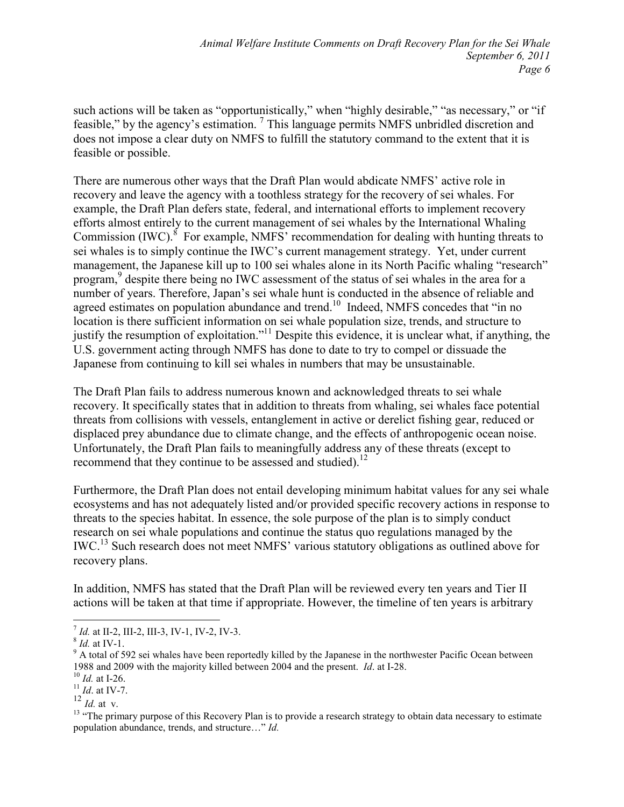such actions will be taken as "opportunistically," when "highly desirable," "as necessary," or "if feasible," by the agency's estimation.<sup>7</sup> This language permits NMFS unbridled discretion and does not impose a clear duty on NMFS to fulfill the statutory command to the extent that it is feasible or possible.

There are numerous other ways that the Draft Plan would abdicate NMFS' active role in recovery and leave the agency with a toothless strategy for the recovery of sei whales. For example, the Draft Plan defers state, federal, and international efforts to implement recovery efforts almost entirely to the current management of sei whales by the International Whaling Commission (IWC). $8$  For example, NMFS' recommendation for dealing with hunting threats to sei whales is to simply continue the IWC's current management strategy. Yet, under current management, the Japanese kill up to 100 sei whales alone in its North Pacific whaling "research" program,<sup>9</sup> despite there being no IWC assessment of the status of sei whales in the area for a number of years. Therefore, Japan's sei whale hunt is conducted in the absence of reliable and agreed estimates on population abundance and trend.<sup>10</sup> Indeed, NMFS concedes that "in no location is there sufficient information on sei whale population size, trends, and structure to justify the resumption of exploitation."<sup>11</sup> Despite this evidence, it is unclear what, if anything, the U.S. government acting through NMFS has done to date to try to compel or dissuade the Japanese from continuing to kill sei whales in numbers that may be unsustainable.

The Draft Plan fails to address numerous known and acknowledged threats to sei whale recovery. It specifically states that in addition to threats from whaling, sei whales face potential threats from collisions with vessels, entanglement in active or derelict fishing gear, reduced or displaced prey abundance due to climate change, and the effects of anthropogenic ocean noise. Unfortunately, the Draft Plan fails to meaningfully address any of these threats (except to recommend that they continue to be assessed and studied).<sup>12</sup>

Furthermore, the Draft Plan does not entail developing minimum habitat values for any sei whale ecosystems and has not adequately listed and/or provided specific recovery actions in response to threats to the species habitat. In essence, the sole purpose of the plan is to simply conduct research on sei whale populations and continue the status quo regulations managed by the IWC.<sup>13</sup> Such research does not meet NMFS' various statutory obligations as outlined above for recovery plans.

In addition, NMFS has stated that the Draft Plan will be reviewed every ten years and Tier II actions will be taken at that time if appropriate. However, the timeline of ten years is arbitrary

<sup>10</sup> *Id.* at I-26.

<sup>12</sup> *Id.* at v.

*T Id.* at II-2, III-2, III-3, IV-1, IV-2, IV-3.

<sup>8</sup> *Id.* at IV-1.

 $9$  A total of 592 sei whales have been reportedly killed by the Japanese in the northwester Pacific Ocean between 1988 and 2009 with the majority killed between 2004 and the present. *Id*. at I-28.

<sup>11</sup> *Id*. at IV-7.

 $13$  "The primary purpose of this Recovery Plan is to provide a research strategy to obtain data necessary to estimate population abundance, trends, and structure…" *Id.*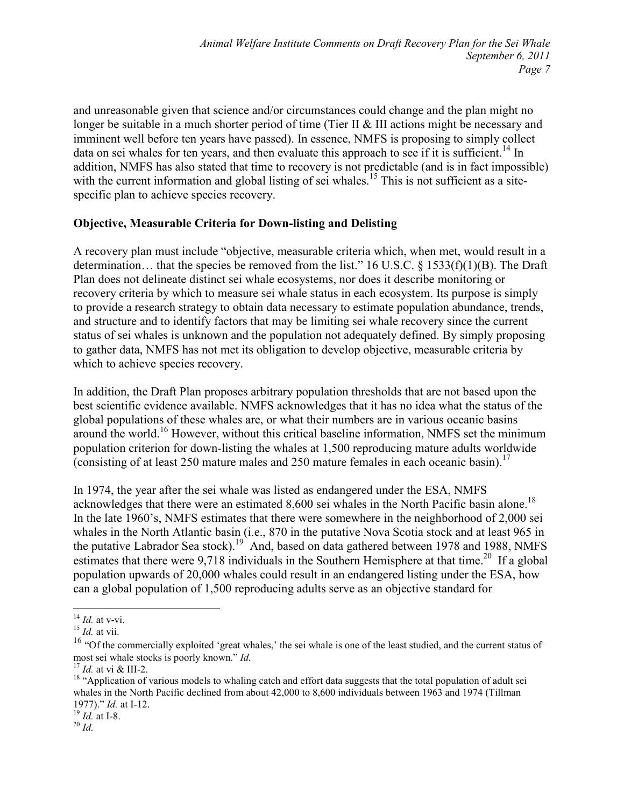and unreasonable given that science and/or circumstances could change and the plan might no longer be suitable in a much shorter period of time (Tier II & III actions might be necessary and imminent well before ten years have passed). In essence, NMFS is proposing to simply collect data on sei whales for ten years, and then evaluate this approach to see if it is sufficient.<sup>14</sup> In addition, NMFS has also stated that time to recovery is not predictable (and is in fact impossible) with the current information and global listing of sei whales.<sup>15</sup> This is not sufficient as a sitespecific plan to achieve species recovery.

# **Objective, Measurable Criteria for Down-listing and Delisting**

A recovery plan must include "objective, measurable criteria which, when met, would result in a determination… that the species be removed from the list." 16 U.S.C. § 1533(f)(1)(B). The Draft Plan does not delineate distinct sei whale ecosystems, nor does it describe monitoring or recovery criteria by which to measure sei whale status in each ecosystem. Its purpose is simply to provide a research strategy to obtain data necessary to estimate population abundance, trends, and structure and to identify factors that may be limiting sei whale recovery since the current status of sei whales is unknown and the population not adequately defined. By simply proposing to gather data, NMFS has not met its obligation to develop objective, measurable criteria by which to achieve species recovery.

In addition, the Draft Plan proposes arbitrary population thresholds that are not based upon the best scientific evidence available. NMFS acknowledges that it has no idea what the status of the global populations of these whales are, or what their numbers are in various oceanic basins around the world.<sup>16</sup> However, without this critical baseline information, NMFS set the minimum population criterion for down-listing the whales at 1,500 reproducing mature adults worldwide (consisting of at least 250 mature males and 250 mature females in each oceanic basin).<sup>17</sup>

In 1974, the year after the sei whale was listed as endangered under the ESA, NMFS acknowledges that there were an estimated 8,600 sei whales in the North Pacific basin alone.<sup>18</sup> In the late 1960's, NMFS estimates that there were somewhere in the neighborhood of 2,000 sei whales in the North Atlantic basin (i.e., 870 in the putative Nova Scotia stock and at least 965 in the putative Labrador Sea stock).<sup>19</sup> And, based on data gathered between 1978 and 1988, NMFS estimates that there were 9,718 individuals in the Southern Hemisphere at that time.<sup>20</sup> If a global population upwards of 20,000 whales could result in an endangered listing under the ESA, how can a global population of 1,500 reproducing adults serve as an objective standard for

<sup>&</sup>lt;u>.</u> <sup>14</sup> *Id.* at v-vi.

<sup>15</sup> *Id.* at vii.

<sup>&</sup>lt;sup>16</sup> "Of the commercially exploited 'great whales,' the sei whale is one of the least studied, and the current status of most sei whale stocks is poorly known." *Id.* 

<sup>17</sup> *Id.* at vi & III-2.

<sup>&</sup>lt;sup>18</sup> "Application of various models to whaling catch and effort data suggests that the total population of adult sei whales in the North Pacific declined from about 42,000 to 8,600 individuals between 1963 and 1974 (Tillman 1977)." *Id.* at I-12.

<sup>19</sup> *Id.* at I-8.

 $^{20}$  *Id.*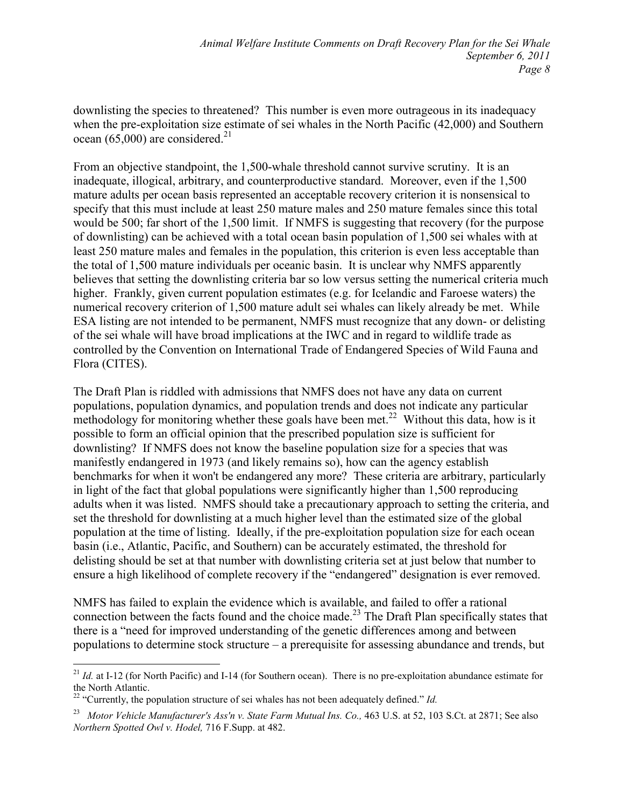downlisting the species to threatened? This number is even more outrageous in its inadequacy when the pre-exploitation size estimate of sei whales in the North Pacific (42,000) and Southern ocean (65,000) are considered.<sup>21</sup>

From an objective standpoint, the 1,500-whale threshold cannot survive scrutiny. It is an inadequate, illogical, arbitrary, and counterproductive standard. Moreover, even if the 1,500 mature adults per ocean basis represented an acceptable recovery criterion it is nonsensical to specify that this must include at least 250 mature males and 250 mature females since this total would be 500; far short of the 1,500 limit. If NMFS is suggesting that recovery (for the purpose of downlisting) can be achieved with a total ocean basin population of 1,500 sei whales with at least 250 mature males and females in the population, this criterion is even less acceptable than the total of 1,500 mature individuals per oceanic basin. It is unclear why NMFS apparently believes that setting the downlisting criteria bar so low versus setting the numerical criteria much higher. Frankly, given current population estimates (e.g. for Icelandic and Faroese waters) the numerical recovery criterion of 1,500 mature adult sei whales can likely already be met. While ESA listing are not intended to be permanent, NMFS must recognize that any down- or delisting of the sei whale will have broad implications at the IWC and in regard to wildlife trade as controlled by the Convention on International Trade of Endangered Species of Wild Fauna and Flora (CITES).

The Draft Plan is riddled with admissions that NMFS does not have any data on current populations, population dynamics, and population trends and does not indicate any particular methodology for monitoring whether these goals have been met.<sup>22</sup> Without this data, how is it possible to form an official opinion that the prescribed population size is sufficient for downlisting? If NMFS does not know the baseline population size for a species that was manifestly endangered in 1973 (and likely remains so), how can the agency establish benchmarks for when it won't be endangered any more? These criteria are arbitrary, particularly in light of the fact that global populations were significantly higher than 1,500 reproducing adults when it was listed. NMFS should take a precautionary approach to setting the criteria, and set the threshold for downlisting at a much higher level than the estimated size of the global population at the time of listing. Ideally, if the pre-exploitation population size for each ocean basin (i.e., Atlantic, Pacific, and Southern) can be accurately estimated, the threshold for delisting should be set at that number with downlisting criteria set at just below that number to ensure a high likelihood of complete recovery if the "endangered" designation is ever removed.

NMFS has failed to explain the evidence which is available, and failed to offer a rational connection between the facts found and the choice made.<sup>23</sup> The Draft Plan specifically states that there is a "need for improved understanding of the genetic differences among and between populations to determine stock structure – a prerequisite for assessing abundance and trends, but

 $\overline{a}$  $^{21}$  *Id.* at I-12 (for North Pacific) and I-14 (for Southern ocean). There is no pre-exploitation abundance estimate for the North Atlantic.

<sup>&</sup>lt;sup>22</sup> "Currently, the population structure of sei whales has not been adequately defined." *Id.* 

<sup>23</sup> *Motor Vehicle Manufacturer's Ass'n v. State Farm Mutual Ins. Co.,* 463 U.S. at 52, 103 S.Ct. at 2871; See also *2orthern Spotted Owl v. Hodel,* 716 F.Supp. at 482.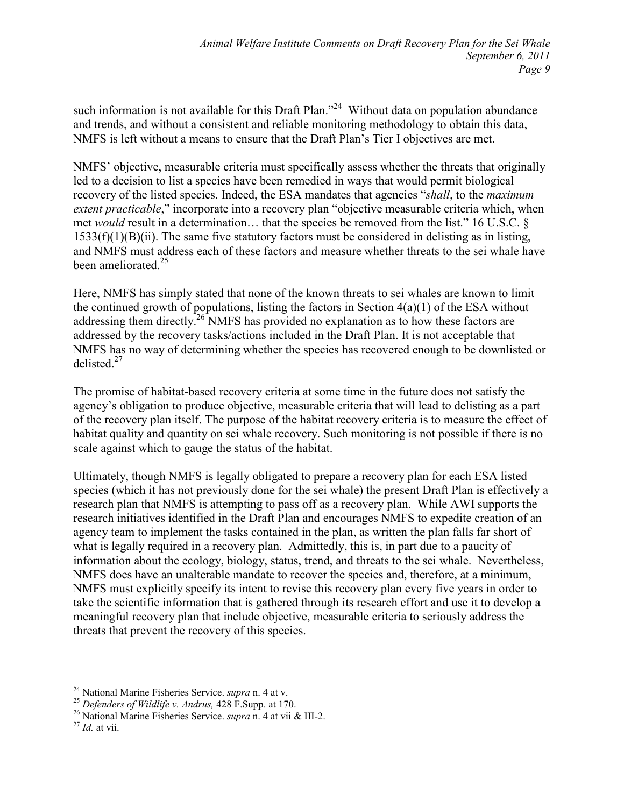such information is not available for this Draft Plan."<sup>24</sup> Without data on population abundance and trends, and without a consistent and reliable monitoring methodology to obtain this data, NMFS is left without a means to ensure that the Draft Plan's Tier I objectives are met.

NMFS' objective, measurable criteria must specifically assess whether the threats that originally led to a decision to list a species have been remedied in ways that would permit biological recovery of the listed species. Indeed, the ESA mandates that agencies "*shall*, to the *maximum extent practicable*," incorporate into a recovery plan "objective measurable criteria which, when met *would* result in a determination… that the species be removed from the list." 16 U.S.C. § 1533(f)(1)(B)(ii). The same five statutory factors must be considered in delisting as in listing, and NMFS must address each of these factors and measure whether threats to the sei whale have been ameliorated.<sup>25</sup>

Here, NMFS has simply stated that none of the known threats to sei whales are known to limit the continued growth of populations, listing the factors in Section  $4(a)(1)$  of the ESA without addressing them directly.<sup>26</sup> NMFS has provided no explanation as to how these factors are addressed by the recovery tasks/actions included in the Draft Plan. It is not acceptable that NMFS has no way of determining whether the species has recovered enough to be downlisted or delisted $^{27}$ 

The promise of habitat-based recovery criteria at some time in the future does not satisfy the agency's obligation to produce objective, measurable criteria that will lead to delisting as a part of the recovery plan itself. The purpose of the habitat recovery criteria is to measure the effect of habitat quality and quantity on sei whale recovery. Such monitoring is not possible if there is no scale against which to gauge the status of the habitat.

Ultimately, though NMFS is legally obligated to prepare a recovery plan for each ESA listed species (which it has not previously done for the sei whale) the present Draft Plan is effectively a research plan that NMFS is attempting to pass off as a recovery plan. While AWI supports the research initiatives identified in the Draft Plan and encourages NMFS to expedite creation of an agency team to implement the tasks contained in the plan, as written the plan falls far short of what is legally required in a recovery plan. Admittedly, this is, in part due to a paucity of information about the ecology, biology, status, trend, and threats to the sei whale. Nevertheless, NMFS does have an unalterable mandate to recover the species and, therefore, at a minimum, NMFS must explicitly specify its intent to revise this recovery plan every five years in order to take the scientific information that is gathered through its research effort and use it to develop a meaningful recovery plan that include objective, measurable criteria to seriously address the threats that prevent the recovery of this species.

l

<sup>24</sup> National Marine Fisheries Service. *supra* n. 4 at v.

<sup>25</sup> *Defenders of Wildlife v. Andrus,* 428 F.Supp. at 170.

<sup>26</sup> National Marine Fisheries Service. *supra* n. 4 at vii & III-2.

<sup>27</sup> *Id.* at vii.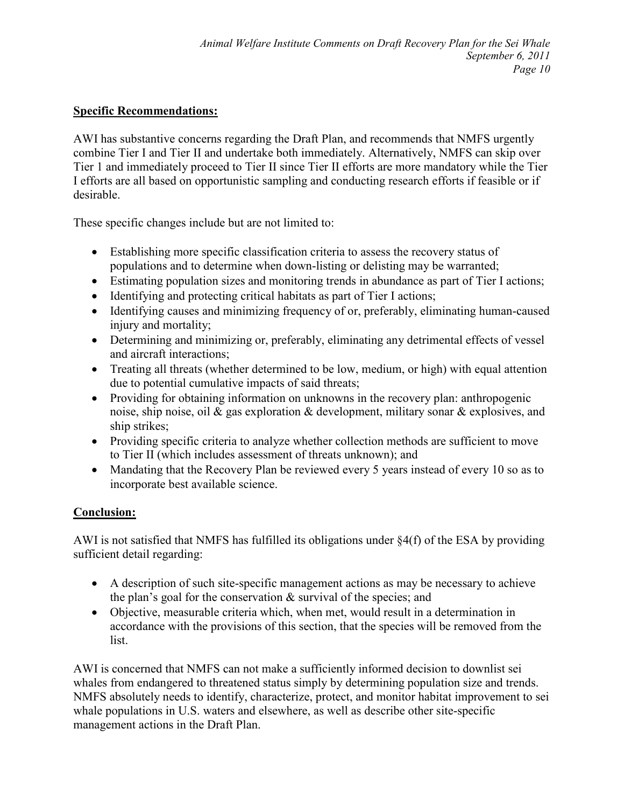# **Specific Recommendations:**

AWI has substantive concerns regarding the Draft Plan, and recommends that NMFS urgently combine Tier I and Tier II and undertake both immediately. Alternatively, NMFS can skip over Tier 1 and immediately proceed to Tier II since Tier II efforts are more mandatory while the Tier I efforts are all based on opportunistic sampling and conducting research efforts if feasible or if desirable.

These specific changes include but are not limited to:

- Establishing more specific classification criteria to assess the recovery status of populations and to determine when down-listing or delisting may be warranted;
- Estimating population sizes and monitoring trends in abundance as part of Tier I actions;
- Identifying and protecting critical habitats as part of Tier I actions;
- Identifying causes and minimizing frequency of or, preferably, eliminating human-caused injury and mortality;
- Determining and minimizing or, preferably, eliminating any detrimental effects of vessel and aircraft interactions;
- Treating all threats (whether determined to be low, medium, or high) with equal attention due to potential cumulative impacts of said threats;
- Providing for obtaining information on unknowns in the recovery plan: anthropogenic noise, ship noise, oil & gas exploration & development, military sonar & explosives, and ship strikes;
- Providing specific criteria to analyze whether collection methods are sufficient to move to Tier II (which includes assessment of threats unknown); and
- Mandating that the Recovery Plan be reviewed every 5 years instead of every 10 so as to incorporate best available science.

# **Conclusion:**

AWI is not satisfied that NMFS has fulfilled its obligations under §4(f) of the ESA by providing sufficient detail regarding:

- A description of such site-specific management actions as may be necessary to achieve the plan's goal for the conservation  $\&$  survival of the species; and
- Objective, measurable criteria which, when met, would result in a determination in accordance with the provisions of this section, that the species will be removed from the list.

AWI is concerned that NMFS can not make a sufficiently informed decision to downlist sei whales from endangered to threatened status simply by determining population size and trends. NMFS absolutely needs to identify, characterize, protect, and monitor habitat improvement to sei whale populations in U.S. waters and elsewhere, as well as describe other site-specific management actions in the Draft Plan.